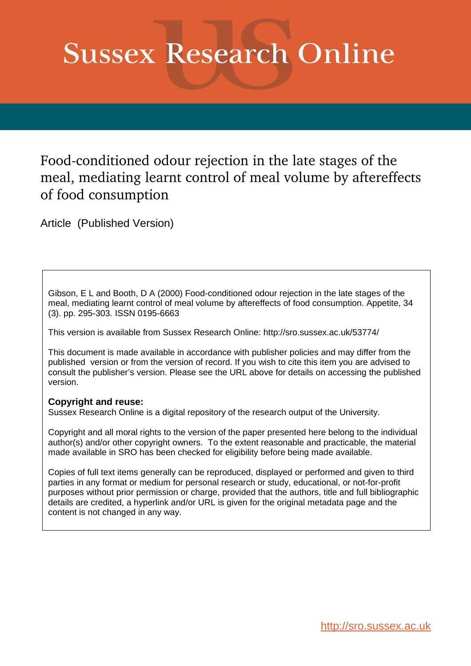# **Sussex Research Online**

## Food-conditioned odour rejection in the late stages of the meal, mediating learnt control of meal volume by aftereffects of food consumption

Article (Published Version)

Gibson, E L and Booth, D A (2000) Food-conditioned odour rejection in the late stages of the meal, mediating learnt control of meal volume by aftereffects of food consumption. Appetite, 34 (3). pp. 295-303. ISSN 0195-6663

This version is available from Sussex Research Online: http://sro.sussex.ac.uk/53774/

This document is made available in accordance with publisher policies and may differ from the published version or from the version of record. If you wish to cite this item you are advised to consult the publisher's version. Please see the URL above for details on accessing the published version.

### **Copyright and reuse:**

Sussex Research Online is a digital repository of the research output of the University.

Copyright and all moral rights to the version of the paper presented here belong to the individual author(s) and/or other copyright owners. To the extent reasonable and practicable, the material made available in SRO has been checked for eligibility before being made available.

Copies of full text items generally can be reproduced, displayed or performed and given to third parties in any format or medium for personal research or study, educational, or not-for-profit purposes without prior permission or charge, provided that the authors, title and full bibliographic details are credited, a hyperlink and/or URL is given for the original metadata page and the content is not changed in any way.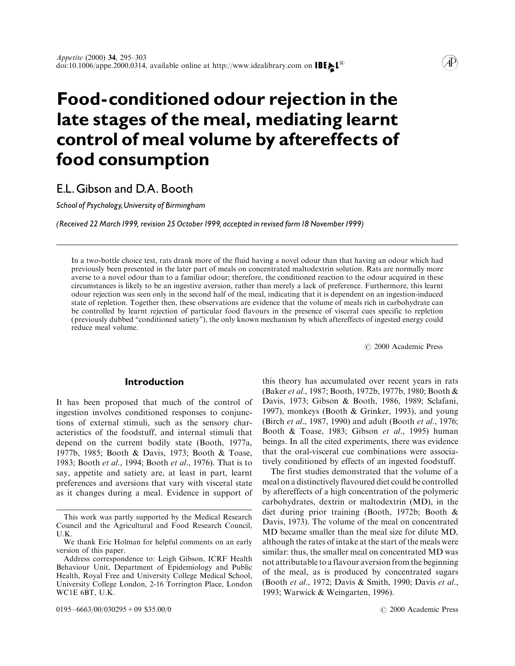## Food-conditioned odour rejection in the late stages of the meal, mediating learnt control of meal volume by aftereffects of food consumption

E.L.Gibson and D.A. Booth

School of Psychology, University of Birmingham

(Received 22 March1999, revision 25 October1999, acceptedin revised form18 November1999)

In a two-bottle choice test, rats drank more of the fluid having a novel odour than that having an odour which had previously been presented in the later part of meals on concentrated maltodextrin solution. Rats are normally more averse to a novel odour than to a familiar odour; therefore, the conditioned reaction to the odour acquired in these circumstances is likely to be an ingestive aversion, rather than merely a lack of preference. Furthermore, this learnt odour rejection was seen only in the second half of the meal, indicating that it is dependent on an ingestion-induced state of repletion. Together then, these observations are evidence that the volume of meals rich in carbohydrate can be controlled by learnt rejection of particular food flavours in the presence of visceral cues specific to repletion (previously dubbed ``conditioned satiety''), the only known mechanism by which aftereffects of ingested energy could reduce meal volume.

 $\odot$  2000 Academic Press

#### Introduction

It has been proposed that much of the control of ingestion involves conditioned responses to conjunctions of external stimuli, such as the sensory characteristics of the foodstuff, and internal stimuli that depend on the current bodily state (Booth, 1977a, 1977b, 1985; Booth & Davis, 1973; Booth & Toase, 1983; Booth et al., 1994; Booth et al., 1976). That is to say, appetite and satiety are, at least in part, learnt preferences and aversions that vary with visceral state as it changes during a meal. Evidence in support of

 $0.195 - 6663/00/030295 + 09\$ \$35.00/0

this theory has accumulated over recent years in rats (Baker et al., 1987; Booth, 1972b, 1977b, 1980; Booth & Davis, 1973; Gibson & Booth, 1986, 1989; Sclafani, 1997), monkeys (Booth & Grinker, 1993), and young (Birch et al., 1987, 1990) and adult (Booth et al., 1976; Booth & Toase, 1983; Gibson et al., 1995) human beings. In all the cited experiments, there was evidence that the oral-visceral cue combinations were associatively conditioned by effects of an ingested foodstuff.

The first studies demonstrated that the volume of a meal on a distinctively flavoured diet could be controlled by aftereffects of a high concentration of the polymeric carbohydrates, dextrin or maltodextrin (MD), in the diet during prior training (Booth, 1972b; Booth & Davis, 1973). The volume of the meal on concentrated MD became smaller than the meal size for dilute MD, although the rates of intake at the start of the meals were similar: thus, the smaller meal on concentrated MD was not attributable to a flavour aversion from the beginning of the meal, as is produced by concentrated sugars (Booth et al., 1972; Davis & Smith, 1990; Davis et al., 1993; Warwick & Weingarten, 1996).

This work was partly supported by the Medical Research Council and the Agricultural and Food Research Council, U.K.

We thank Eric Holman for helpful comments on an early version of this paper.

Address correspondence to: Leigh Gibson, ICRF Health Behaviour Unit, Department of Epidemiology and Public Health, Royal Free and University College Medical School, University College London, 2-16 Torrington Place, London WC1E 6BT, U.K.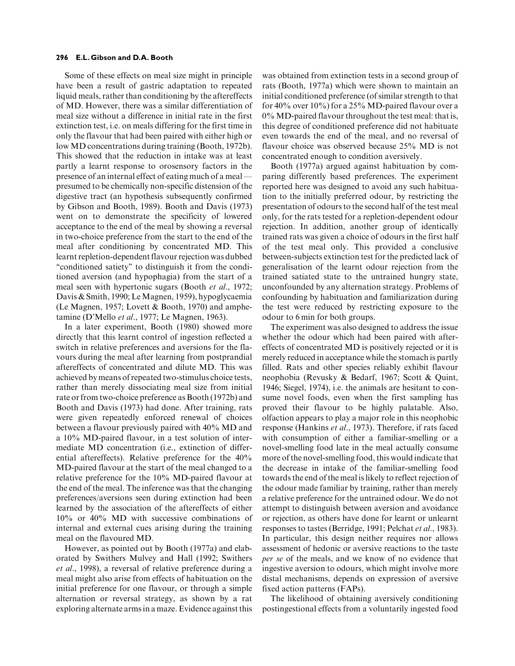#### 296 E.L.Gibson and D.A. Booth

Some of these effects on meal size might in principle have been a result of gastric adaptation to repeated liquid meals, rather than conditioning by the aftereffects of MD. However, there was a similar differentiation of meal size without a difference in initial rate in the first extinction test, i.e. on meals differing for the first time in only the flavour that had been paired with either high or low MD concentrations during training (Booth, 1972b). This showed that the reduction in intake was at least partly a learnt response to orosensory factors in the presence of an internal effect of eating much of a meal presumed to be chemically non-specific distension of the digestive tract (an hypothesis subsequently confirmed by Gibson and Booth, 1989). Booth and Davis (1973) went on to demonstrate the specificity of lowered acceptance to the end of the meal by showing a reversal in two-choice preference from the start to the end of the meal after conditioning by concentrated MD. This learnt repletion-dependent flavour rejection was dubbed "conditioned satiety" to distinguish it from the conditioned aversion (and hypophagia) from the start of a meal seen with hypertonic sugars (Booth et al., 1972; Davis & Smith, 1990; Le Magnen, 1959), hypoglycaemia (Le Magnen, 1957; Lovett & Booth, 1970) and amphetamine (D'Mello et al., 1977; Le Magnen, 1963).

In a later experiment, Booth (1980) showed more directly that this learnt control of ingestion reflected a switch in relative preferences and aversions for the flavours during the meal after learning from postprandial aftereffects of concentrated and dilute MD. This was achieved by means of repeated two-stimulus choice tests, rather than merely dissociating meal size from initial rate or from two-choice preference as Booth (1972b) and Booth and Davis (1973) had done. After training, rats were given repeatedly enforced renewal of choices between a flavour previously paired with 40% MD and a 10% MD-paired flavour, in a test solution of intermediate MD concentration (i.e., extinction of differential aftereffects). Relative preference for the 40% MD-paired flavour at the start of the meal changed to a relative preference for the 10% MD-paired flavour at the end of the meal. The inference was that the changing preferences/aversions seen during extinction had been learned by the association of the aftereffects of either 10% or 40% MD with successive combinations of internal and external cues arising during the training meal on the flavoured MD.

However, as pointed out by Booth (1977a) and elaborated by Swithers Mulvey and Hall (1992; Swithers et al., 1998), a reversal of relative preference during a meal might also arise from effects of habituation on the initial preference for one flavour, or through a simple alternation or reversal strategy, as shown by a rat exploring alternate arms in a maze. Evidence against this was obtained from extinction tests in a second group of rats (Booth, 1977a) which were shown to maintain an initial conditioned preference (of similar strength to that for 40% over 10%) for a 25% MD-paired flavour over a 0% MD-paired flavour throughout the test meal: that is, this degree of conditioned preference did not habituate even towards the end of the meal, and no reversal of flavour choice was observed because 25% MD is not concentrated enough to condition aversively.

Booth (1977a) argued against habituation by comparing differently based preferences. The experiment reported here was designed to avoid any such habituation to the initially preferred odour, by restricting the presentation of odours to the second half of the test meal only, for the rats tested for a repletion-dependent odour rejection. In addition, another group of identically trained rats was given a choice of odours in the first half of the test meal only. This provided a conclusive between-subjects extinction test for the predicted lack of generalisation of the learnt odour rejection from the trained satiated state to the untrained hungry state, unconfounded by any alternation strategy. Problems of confounding by habituation and familiarization during the test were reduced by restricting exposure to the odour to 6 min for both groups.

The experiment was also designed to address the issue whether the odour which had been paired with aftereffects of concentrated MD is positively rejected or it is merely reduced in acceptance while the stomach is partly filled. Rats and other species reliably exhibit flavour neophobia (Revusky & Bedarf, 1967; Scott & Quint, 1946; Siegel, 1974), i.e. the animals are hesitant to consume novel foods, even when the first sampling has proved their flavour to be highly palatable. Also, olfaction appears to play a major role in this neophobic response (Hankins *et al.*, 1973). Therefore, if rats faced with consumption of either a familiar-smelling or a novel-smelling food late in the meal actually consume more of the novel-smelling food, this would indicate that the decrease in intake of the familiar-smelling food towards the end of the meal is likely to reflect rejection of the odour made familiar by training, rather than merely a relative preference for the untrained odour. We do not attempt to distinguish between aversion and avoidance or rejection, as others have done for learnt or unlearnt responses to tastes (Berridge, 1991; Pelchat et al., 1983). In particular, this design neither requires nor allows assessment of hedonic or aversive reactions to the taste per se of the meals, and we know of no evidence that ingestive aversion to odours, which might involve more distal mechanisms, depends on expression of aversive fixed action patterns (FAPs).

The likelihood of obtaining aversively conditioning postingestional effects from a voluntarily ingested food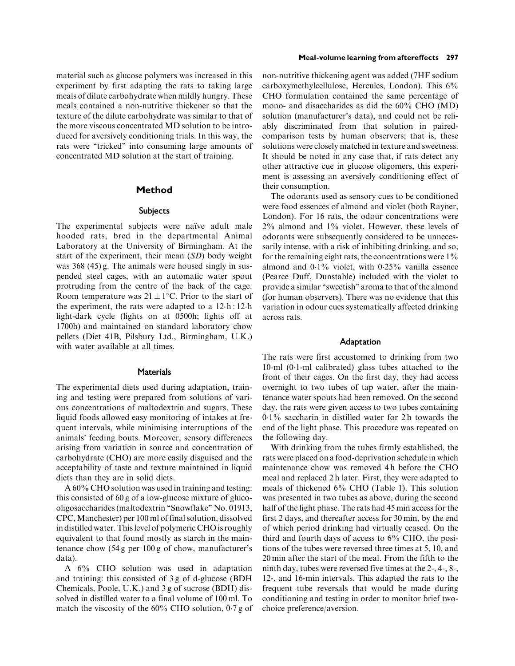material such as glucose polymers was increased in this experiment by first adapting the rats to taking large meals of dilute carbohydrate when mildly hungry. These meals contained a non-nutritive thickener so that the texture of the dilute carbohydrate was similar to that of the more viscous concentrated MD solution to be introduced for aversively conditioning trials. In this way, the rats were "tricked" into consuming large amounts of concentrated MD solution at the start of training.

#### Method

#### Subjects

The experimental subjects were naïve adult male hooded rats, bred in the departmental Animal Laboratory at the University of Birmingham. At the start of the experiment, their mean (SD) body weight was 368 (45) g. The animals were housed singly in suspended steel cages, with an automatic water spout protruding from the centre of the back of the cage. Room temperature was  $21 \pm 1$ °C. Prior to the start of the experiment, the rats were adapted to a 12-h : 12-h light-dark cycle (lights on at 0500h; lights off at 1700h) and maintained on standard laboratory chow pellets (Diet 41B, Pilsbury Ltd., Birmingham, U.K.) with water available at all times.

#### **Materials**

The experimental diets used during adaptation, training and testing were prepared from solutions of various concentrations of maltodextrin and sugars. These liquid foods allowed easy monitoring of intakes at frequent intervals, while minimising interruptions of the animals' feeding bouts. Moreover, sensory differences arising from variation in source and concentration of carbohydrate (CHO) are more easily disguised and the acceptability of taste and texture maintained in liquid diets than they are in solid diets.

A 60% CHO solution was used in training and testing: this consisted of 60 g of a low-glucose mixture of glucooligosaccharides (maltodextrin ``Snowflake'' No. 01913, CPC, Manchester) per 100 ml of final solution, dissolved in distilled water. This level of polymeric CHO is roughly equivalent to that found mostly as starch in the maintenance chow (54 g per 100 g of chow, manufacturer's data).

A 6% CHO solution was used in adaptation and training: this consisted of 3 g of d-glucose (BDH Chemicals, Poole, U.K.) and 3 g of sucrose (BDH) dissolved in distilled water to a final volume of 100 ml. To match the viscosity of the  $60\%$  CHO solution,  $0.7$  g of

#### Meal-volume learning from aftereffects 297

non-nutritive thickening agent was added (7HF sodium carboxymethylcellulose, Hercules, London). This 6% CHO formulation contained the same percentage of mono- and disaccharides as did the 60% CHO (MD) solution (manufacturer's data), and could not be reliably discriminated from that solution in pairedcomparison tests by human observers; that is, these solutions were closely matched in texture and sweetness. It should be noted in any case that, if rats detect any other attractive cue in glucose oligomers, this experiment is assessing an aversively conditioning effect of their consumption.

The odorants used as sensory cues to be conditioned were food essences of almond and violet (both Rayner, London). For 16 rats, the odour concentrations were 2% almond and 1% violet. However, these levels of odorants were subsequently considered to be unnecessarily intense, with a risk of inhibiting drinking, and so, for the remaining eight rats, the concentrations were  $1\%$ almond and  $0.1\%$  violet, with  $0.25\%$  vanilla essence (Pearce Duff, Dunstable) included with the violet to provide a similar "sweetish" aroma to that of the almond (for human observers). There was no evidence that this variation in odour cues systematically affected drinking across rats.

#### Adaptation

The rats were first accustomed to drinking from two 10-ml  $(0.1$ -ml calibrated) glass tubes attached to the front of their cages. On the first day, they had access overnight to two tubes of tap water, after the maintenance water spouts had been removed. On the second day, the rats were given access to two tubes containing  $0.1\%$  saccharin in distilled water for 2 h towards the end of the light phase. This procedure was repeated on the following day.

With drinking from the tubes firmly established, the rats were placed on a food-deprivation schedule in which maintenance chow was removed 4 h before the CHO meal and replaced 2 h later. First, they were adapted to meals of thickened 6% CHO (Table 1). This solution was presented in two tubes as above, during the second half of the light phase. The rats had 45 min access for the first 2 days, and thereafter access for 30 min, by the end of which period drinking had virtually ceased. On the third and fourth days of access to 6% CHO, the positions of the tubes were reversed three times at 5, 10, and 20 min after the start of the meal. From the fifth to the ninth day, tubes were reversed five times at the 2-, 4-, 8-, 12-, and 16-min intervals. This adapted the rats to the frequent tube reversals that would be made during conditioning and testing in order to monitor brief twochoice preference/aversion.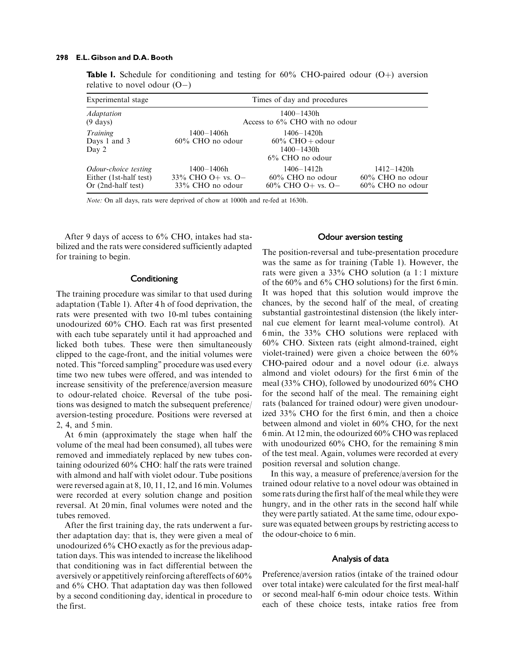#### 298 E.L. Gibson and D.A. Booth

**Table I.** Schedule for conditioning and testing for  $60\%$  CHO-paired odour  $(O+)$  aversion relative to novel odour  $(O-)$ 

| Experimental stage                | Times of day and procedures       |                                                                              |                     |
|-----------------------------------|-----------------------------------|------------------------------------------------------------------------------|---------------------|
| <i>Adaptation</i>                 | $1400 - 1430h$                    |                                                                              |                     |
| $(9 \text{ days})$                | Access to $6\%$ CHO with no odour |                                                                              |                     |
| Training<br>Days 1 and 3<br>Day 2 | 1400–1406h<br>$60\%$ CHO no odour | $1406 - 1420h$<br>$60\%$ CHO + odour<br>$1400 - 1430h$<br>$6\%$ CHO no odour |                     |
| Odour-choice testing              | 1400–1406h                        | 1406–1412h                                                                   | $1412 - 1420h$      |
| Either (1st-half test)            | 33% CHO $O+$ vs. $O-$             | $60\%$ CHO no odour                                                          | $60\%$ CHO no odour |
| $Or(2nd-half test)$               | 33% CHO no odour                  | $60\%$ CHO O+ vs. O-                                                         | $60\%$ CHO no odour |

Note: On all days, rats were deprived of chow at 1000h and re-fed at 1630h.

After 9 days of access to 6% CHO, intakes had stabilized and the rats were considered sufficiently adapted for training to begin.

#### **Conditioning**

The training procedure was similar to that used during adaptation (Table 1). After 4 h of food deprivation, the rats were presented with two 10-ml tubes containing unodourized 60% CHO. Each rat was first presented with each tube separately until it had approached and licked both tubes. These were then simultaneously clipped to the cage-front, and the initial volumes were noted. This "forced sampling" procedure was used every time two new tubes were offered, and was intended to increase sensitivity of the preference/aversion measure to odour-related choice. Reversal of the tube positions was designed to match the subsequent preference/ aversion-testing procedure. Positions were reversed at 2, 4, and 5 min.

At 6 min (approximately the stage when half the volume of the meal had been consumed), all tubes were removed and immediately replaced by new tubes containing odourized 60% CHO: half the rats were trained with almond and half with violet odour. Tube positions were reversed again at 8, 10, 11, 12, and 16 min. Volumes were recorded at every solution change and position reversal. At 20 min, final volumes were noted and the tubes removed.

After the first training day, the rats underwent a further adaptation day: that is, they were given a meal of unodourized 6% CHO exactly as for the previous adaptation days. This was intended to increase the likelihood that conditioning was in fact differential between the aversively or appetitively reinforcing aftereffects of 60% and 6% CHO. That adaptation day was then followed by a second conditioning day, identical in procedure to the first.

#### Odour aversion testing

The position-reversal and tube-presentation procedure was the same as for training (Table 1). However, the rats were given a 33% CHO solution (a 1 : 1 mixture of the 60% and 6% CHO solutions) for the first 6 min. It was hoped that this solution would improve the chances, by the second half of the meal, of creating substantial gastrointestinal distension (the likely internal cue element for learnt meal-volume control). At 6 min, the 33% CHO solutions were replaced with 60% CHO. Sixteen rats (eight almond-trained, eight violet-trained) were given a choice between the 60% CHO-paired odour and a novel odour (i.e. always almond and violet odours) for the first 6 min of the meal (33% CHO), followed by unodourized 60% CHO for the second half of the meal. The remaining eight rats (balanced for trained odour) were given unodourized 33% CHO for the first 6 min, and then a choice between almond and violet in 60% CHO, for the next 6 min. At 12 min, the odourized 60% CHO was replaced with unodourized 60% CHO, for the remaining 8 min of the test meal. Again, volumes were recorded at every position reversal and solution change.

In this way, a measure of preference/aversion for the trained odour relative to a novel odour was obtained in some rats during the first half of the meal while they were hungry, and in the other rats in the second half while they were partly satiated. At the same time, odour exposure was equated between groups by restricting access to the odour-choice to 6 min.

#### Analysis of data

Preference/aversion ratios (intake of the trained odour over total intake) were calculated for the first meal-half or second meal-half 6-min odour choice tests. Within each of these choice tests, intake ratios free from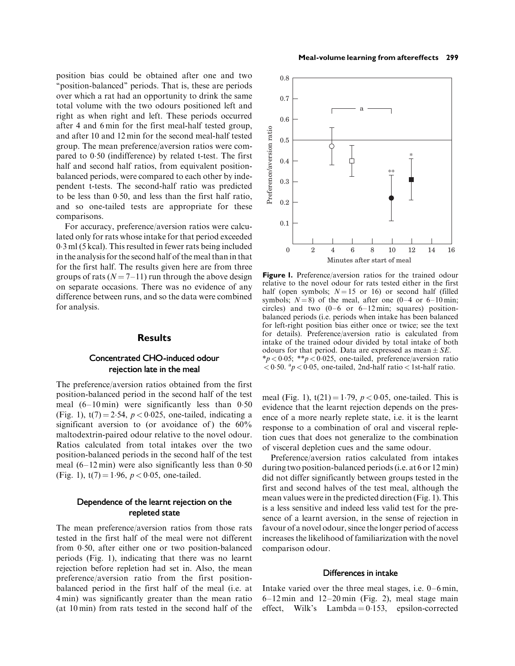position bias could be obtained after one and two ``position-balanced'' periods. That is, these are periods over which a rat had an opportunity to drink the same total volume with the two odours positioned left and right as when right and left. These periods occurred after 4 and 6 min for the first meal-half tested group, and after 10 and 12 min for the second meal-half tested group. The mean preference/aversion ratios were compared to  $0.50$  (indifference) by related t-test. The first half and second half ratios, from equivalent positionbalanced periods, were compared to each other by independent t-tests. The second-half ratio was predicted to be less than 050, and less than the first half ratio, and so one-tailed tests are appropriate for these comparisons.

For accuracy, preference/aversion ratios were calculated only for rats whose intake for that period exceeded 03 ml (5 kcal). This resulted in fewer rats being included in the analysis for the second half of the meal than in that for the first half. The results given here are from three groups of rats ( $N = 7-11$ ) run through the above design on separate occasions. There was no evidence of any difference between runs, and so the data were combined for analysis.

#### **Results**

#### Concentrated CHO-induced odour rejection late in the meal

The preference/aversion ratios obtained from the first position-balanced period in the second half of the test meal  $(6-10 \text{ min})$  were significantly less than  $0.50$ (Fig. 1),  $t(7) = 2.54$ ,  $p < 0.025$ , one-tailed, indicating a significant aversion to (or avoidance of) the  $60\%$ maltodextrin-paired odour relative to the novel odour. Ratios calculated from total intakes over the two position-balanced periods in the second half of the test meal  $(6-12 \text{ min})$  were also significantly less than  $0.50$ (Fig. 1),  $t(7) = 1.96$ ,  $p < 0.05$ , one-tailed.

#### Dependence of the learnt rejection on the repleted state

The mean preference/aversion ratios from those rats tested in the first half of the meal were not different from 050, after either one or two position-balanced periods (Fig. 1), indicating that there was no learnt rejection before repletion had set in. Also, the mean preference/aversion ratio from the first positionbalanced period in the first half of the meal (i.e. at 4 min) was significantly greater than the mean ratio (at 10 min) from rats tested in the second half of the



Figure I. Preference/aversion ratios for the trained odour relative to the novel odour for rats tested either in the first half (open symbols;  $N = 15$  or 16) or second half (filled symbols;  $N = 8$ ) of the meal, after one (0–4 or 6–10 min; circles) and two  $(0-6$  or  $6-12$  min; squares) positionbalanced periods (i.e. periods when intake has been balanced for left-right position bias either once or twice; see the text for details). Preference/aversion ratio is calculated from intake of the trained odour divided by total intake of both odours for that period. Data are expressed as mean  $\pm SE$ .  $*p < 0.05$ ;  $* p < 0.025$ , one-tailed, preference/aversion ratio  $\approx 0.50$ .  $\frac{a}{p} < 0.05$ , one-tailed, 2nd-half ratio  $\lt$  1st-half ratio.

meal (Fig. 1),  $t(21) = 1.79$ ,  $p < 0.05$ , one-tailed. This is evidence that the learnt rejection depends on the presence of a more nearly replete state, i.e. it is the learnt response to a combination of oral and visceral repletion cues that does not generalize to the combination of visceral depletion cues and the same odour.

Preference/aversion ratios calculated from intakes during two position-balanced periods (i.e. at 6 or 12 min) did not differ significantly between groups tested in the first and second halves of the test meal, although the mean values were in the predicted direction (Fig. 1). This is a less sensitive and indeed less valid test for the presence of a learnt aversion, in the sense of rejection in favour of a novel odour, since the longer period of access increases the likelihood of familiarization with the novel comparison odour.

#### Differences in intake

Intake varied over the three meal stages, i.e.  $0-6$  min,  $6-12$  min and  $12-20$  min (Fig. 2), meal stage main effect, Wilk's Lambda =  $0.153$ , epsilon-corrected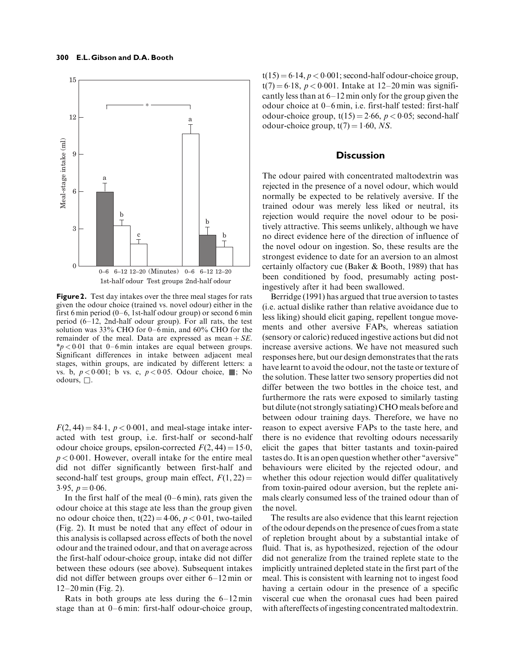

Figure 2. Test day intakes over the three meal stages for rats given the odour choice (trained vs. novel odour) either in the first 6 min period  $(0-6, 1st-half odour group)$  or second 6 min period  $(6-12, 2nd-half odour group)$ . For all rats, the test solution was  $33\%$  CHO for 0–6 min, and 60% CHO for the remainder of the meal. Data are expressed as mean  $+$  SE.  $\frac{p}{2}$  /  $\frac{p}{6}$  that 0–6 min intakes are equal between groups. Significant differences in intake between adjacent meal stages, within groups, are indicated by different letters: a vs. b,  $p < 0.001$ ; b vs. c,  $p < 0.05$ . Odour choice,  $\blacksquare$ ; No odours,  $\Box$ .

 $F(2, 44) = 84.1$ ,  $p < 0.001$ , and meal-stage intake interacted with test group, i.e. first-half or second-half odour choice groups, epsilon-corrected  $F(2, 44) = 15.0$ ,  $p < 0.001$ . However, overall intake for the entire meal did not differ significantly between first-half and second-half test groups, group main effect,  $F(1, 22) =$ 3.95,  $p = 0.06$ .

In the first half of the meal  $(0-6 \text{ min})$ , rats given the odour choice at this stage ate less than the group given no odour choice then,  $t(22) = 4.06$ ,  $p < 0.01$ , two-tailed (Fig. 2). It must be noted that any effect of odour in this analysis is collapsed across effects of both the novel odour and the trained odour, and that on average across the first-half odour-choice group, intake did not differ between these odours (see above). Subsequent intakes did not differ between groups over either  $6-12$  min or  $12-20$  min (Fig. 2).

Rats in both groups ate less during the  $6-12$  min stage than at  $0-6$  min: first-half odour-choice group,  $t(15) = 6.14$ ,  $p < 0.001$ ; second-half odour-choice group,  $t(7) = 6.18$ ,  $p < 0.001$ . Intake at 12–20 min was significantly less than at  $6-12$  min only for the group given the odour choice at 0-6 min, i.e. first-half tested: first-half odour-choice group,  $t(15) = 2.66$ ,  $p < 0.05$ ; second-half odour-choice group,  $t(7) = 1.60$ , NS.

#### **Discussion**

The odour paired with concentrated maltodextrin was rejected in the presence of a novel odour, which would normally be expected to be relatively aversive. If the trained odour was merely less liked or neutral, its rejection would require the novel odour to be positively attractive. This seems unlikely, although we have no direct evidence here of the direction of influence of the novel odour on ingestion. So, these results are the strongest evidence to date for an aversion to an almost certainly olfactory cue (Baker & Booth, 1989) that has been conditioned by food, presumably acting postingestively after it had been swallowed.

Berridge (1991) has argued that true aversion to tastes (i.e. actual dislike rather than relative avoidance due to less liking) should elicit gaping, repellent tongue movements and other aversive FAPs, whereas satiation (sensory or caloric) reduced ingestive actions but did not increase aversive actions. We have not measured such responses here, but our design demonstrates that the rats have learnt to avoid the odour, not the taste or texture of the solution. These latter two sensory properties did not differ between the two bottles in the choice test, and furthermore the rats were exposed to similarly tasting but dilute (not strongly satiating) CHO meals before and between odour training days. Therefore, we have no reason to expect aversive FAPs to the taste here, and there is no evidence that revolting odours necessarily elicit the gapes that bitter tastants and toxin-paired tastes do. It is an open question whether other "aversive" behaviours were elicited by the rejected odour, and whether this odour rejection would differ qualitatively from toxin-paired odour aversion, but the replete animals clearly consumed less of the trained odour than of the novel.

The results are also evidence that this learnt rejection of the odour depends on the presence of cues from a state of repletion brought about by a substantial intake of fluid. That is, as hypothesized, rejection of the odour did not generalize from the trained replete state to the implicitly untrained depleted state in the first part of the meal. This is consistent with learning not to ingest food having a certain odour in the presence of a specific visceral cue when the oronasal cues had been paired with aftereffects of ingesting concentrated maltodextrin.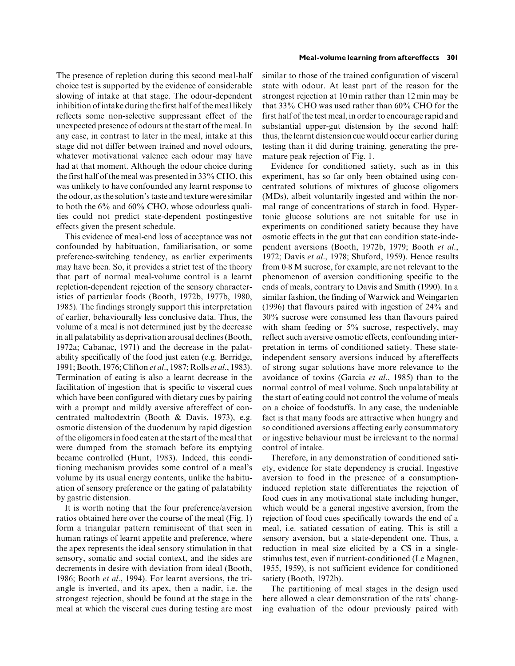The presence of repletion during this second meal-half choice test is supported by the evidence of considerable slowing of intake at that stage. The odour-dependent inhibition of intake during the first half of the meal likely reflects some non-selective suppressant effect of the unexpected presence of odours at the start of the meal. In any case, in contrast to later in the meal, intake at this stage did not differ between trained and novel odours, whatever motivational valence each odour may have had at that moment. Although the odour choice during the first half of the meal was presented in 33% CHO, this was unlikely to have confounded any learnt response to the odour, as the solution's taste and texture were similar to both the 6% and 60% CHO, whose odourless qualities could not predict state-dependent postingestive effects given the present schedule.

This evidence of meal-end loss of acceptance was not confounded by habituation, familiarisation, or some preference-switching tendency, as earlier experiments may have been. So, it provides a strict test of the theory that part of normal meal-volume control is a learnt repletion-dependent rejection of the sensory characteristics of particular foods (Booth, 1972b, 1977b, 1980, 1985). The findings strongly support this interpretation of earlier, behaviourally less conclusive data. Thus, the volume of a meal is not determined just by the decrease in all palatability as deprivation arousal declines (Booth, 1972a; Cabanac, 1971) and the decrease in the palatability specifically of the food just eaten (e.g. Berridge, 1991; Booth, 1976; Clifton et al., 1987; Rolls et al., 1983). Termination of eating is also a learnt decrease in the facilitation of ingestion that is specific to visceral cues which have been configured with dietary cues by pairing with a prompt and mildly aversive aftereffect of concentrated maltodextrin (Booth & Davis, 1973), e.g. osmotic distension of the duodenum by rapid digestion of the oligomers in food eaten at the start of the meal that were dumped from the stomach before its emptying became controlled (Hunt, 1983). Indeed, this conditioning mechanism provides some control of a meal's volume by its usual energy contents, unlike the habituation of sensory preference or the gating of palatability by gastric distension.

It is worth noting that the four preference/aversion ratios obtained here over the course of the meal (Fig. 1) form a triangular pattern reminiscent of that seen in human ratings of learnt appetite and preference, where the apex represents the ideal sensory stimulation in that sensory, somatic and social context, and the sides are decrements in desire with deviation from ideal (Booth, 1986; Booth et al., 1994). For learnt aversions, the triangle is inverted, and its apex, then a nadir, i.e. the strongest rejection, should be found at the stage in the meal at which the visceral cues during testing are most

#### Meal-volume learning from aftereffects 301

similar to those of the trained configuration of visceral state with odour. At least part of the reason for the strongest rejection at 10 min rather than 12 min may be that 33% CHO was used rather than 60% CHO for the first half of the test meal, in order to encourage rapid and substantial upper-gut distension by the second half: thus, the learnt distension cue would occur earlier during testing than it did during training, generating the premature peak rejection of Fig. 1.

Evidence for conditioned satiety, such as in this experiment, has so far only been obtained using concentrated solutions of mixtures of glucose oligomers (MDs), albeit voluntarily ingested and within the normal range of concentrations of starch in food. Hypertonic glucose solutions are not suitable for use in experiments on conditioned satiety because they have osmotic effects in the gut that can condition state-independent aversions (Booth, 1972b, 1979; Booth et al., 1972; Davis et al., 1978; Shuford, 1959). Hence results from 08 M sucrose, for example, are not relevant to the phenomenon of aversion conditioning specific to the ends of meals, contrary to Davis and Smith (1990). In a similar fashion, the finding of Warwick and Weingarten (1996) that flavours paired with ingestion of 24% and 30% sucrose were consumed less than flavours paired with sham feeding or 5% sucrose, respectively, may reflect such aversive osmotic effects, confounding interpretation in terms of conditioned satiety. These stateindependent sensory aversions induced by aftereffects of strong sugar solutions have more relevance to the avoidance of toxins (Garcia et al., 1985) than to the normal control of meal volume. Such unpalatability at the start of eating could not control the volume of meals on a choice of foodstuffs. In any case, the undeniable fact is that many foods are attractive when hungry and so conditioned aversions affecting early consummatory or ingestive behaviour must be irrelevant to the normal control of intake.

Therefore, in any demonstration of conditioned satiety, evidence for state dependency is crucial. Ingestive aversion to food in the presence of a consumptioninduced repletion state differentiates the rejection of food cues in any motivational state including hunger, which would be a general ingestive aversion, from the rejection of food cues specifically towards the end of a meal, i.e. satiated cessation of eating. This is still a sensory aversion, but a state-dependent one. Thus, a reduction in meal size elicited by a CS in a singlestimulus test, even if nutrient-conditioned (Le Magnen, 1955, 1959), is not sufficient evidence for conditioned satiety (Booth, 1972b).

The partitioning of meal stages in the design used here allowed a clear demonstration of the rats' changing evaluation of the odour previously paired with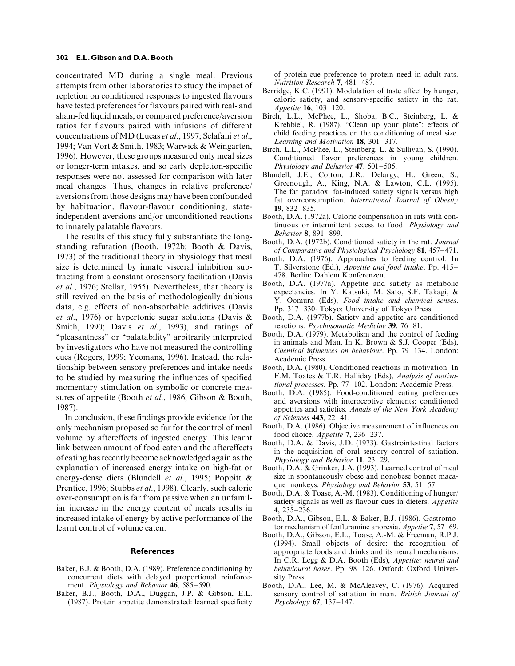#### 302 E.L. Gibson and D.A. Booth

concentrated MD during a single meal. Previous attempts from other laboratories to study the impact of repletion on conditioned responses to ingested flavours have tested preferences for flavours paired with real- and sham-fed liquid meals, or compared preference/aversion ratios for flavours paired with infusions of different concentrations of MD (Lucas et al., 1997; Sclafani et al., 1994; Van Vort & Smith, 1983; Warwick & Weingarten, 1996). However, these groups measured only meal sizes or longer-term intakes, and so early depletion-specific responses were not assessed for comparison with later meal changes. Thus, changes in relative preference/ aversions from those designs may have been confounded by habituation, flavour-flavour conditioning, stateindependent aversions and/or unconditioned reactions to innately palatable flavours.

The results of this study fully substantiate the longstanding refutation (Booth, 1972b; Booth & Davis, 1973) of the traditional theory in physiology that meal size is determined by innate visceral inhibition subtracting from a constant orosensory facilitation (Davis et al., 1976; Stellar, 1955). Nevertheless, that theory is still revived on the basis of methodologically dubious data, e.g. effects of non-absorbable additives (Davis *et al.*, 1976) or hypertonic sugar solutions (Davis  $\&$ Smith, 1990; Davis et al., 1993), and ratings of ``pleasantness'' or ``palatability'' arbitrarily interpreted by investigators who have not measured the controlling cues (Rogers, 1999; Yeomans, 1996). Instead, the relationship between sensory preferences and intake needs to be studied by measuring the influences of specified momentary stimulation on symbolic or concrete measures of appetite (Booth et al., 1986; Gibson & Booth, 1987).

In conclusion, these findings provide evidence for the only mechanism proposed so far for the control of meal volume by aftereffects of ingested energy. This learnt link between amount of food eaten and the aftereffects of eating has recently become acknowledged again as the explanation of increased energy intake on high-fat or energy-dense diets (Blundell et al., 1995; Poppitt & Prentice, 1996; Stubbs et al., 1998). Clearly, such caloric over-consumption is far from passive when an unfamiliar increase in the energy content of meals results in increased intake of energy by active performance of the learnt control of volume eaten.

#### **References**

- Baker, B.J. & Booth, D.A. (1989). Preference conditioning by concurrent diets with delayed proportional reinforcement. *Physiology and Behavior* 46, 585–590.
- Baker, B.J., Booth, D.A., Duggan, J.P. & Gibson, E.L. (1987). Protein appetite demonstrated: learned specificity

of protein-cue preference to protein need in adult rats. Nutrition Research 7, 481-487.

- Berridge, K.C. (1991). Modulation of taste affect by hunger, caloric satiety, and sensory-specific satiety in the rat. *Appetite* **16**, 103–120.
- Birch, L.L., McPhee, L., Shoba, B.C., Steinberg, L. & Krehbiel, R. (1987). "Clean up your plate": effects of child feeding practices on the conditioning of meal size. Learning and Motivation 18, 301 $-317$ .
- Birch, L.L., McPhee, L., Steinberg, L. & Sullivan, S. (1990). Conditioned flavor preferences in young children. Physiology and Behavior 47,  $501-505$ .
- Blundell, J.E., Cotton, J.R., Delargy, H., Green, S., Greenough, A., King, N.A. & Lawton, C.L. (1995). The fat paradox: fat-induced satiety signals versus high fat overconsumption. International Journal of Obesity 19, 832–835.
- Booth, D.A. (1972a). Caloric compensation in rats with continuous or intermittent access to food. Physiology and Behavior 8, 891-899.
- Booth, D.A. (1972b). Conditioned satiety in the rat. Journal of Comparative and Physiological Psychology  $81,457-471$ .
- Booth, D.A. (1976). Approaches to feeding control. In T. Silverstone (Ed.), Appetite and food intake. Pp. 415-478. Berlin: Dahlem Konferenzen.
- Booth, D.A. (1977a). Appetite and satiety as metabolic expectancies. In Y. Katsuki, M. Sato, S.F. Takagi, & Y. Oomura (Eds), Food intake and chemical senses. Pp. 317-330 Tokyo: University of Tokyo Press.
- Booth, D.A. (1977b). Satiety and appetite are conditioned reactions. Psychosomatic Medicine 39, 76-81.
- Booth, D.A. (1979). Metabolism and the control of feeding in animals and Man. In K. Brown & S.J. Cooper (Eds), Chemical influences on behaviour. Pp. 79-134. London: Academic Press.
- Booth, D.A. (1980). Conditioned reactions in motivation. In F.M. Toates & T.R. Halliday (Eds), Analysis of motivational processes. Pp. 77-102. London: Academic Press.
- Booth, D.A. (1985). Food-conditioned eating preferences and aversions with interoceptive elements: conditioned appetites and satieties. Annals of the New York Academy of Sciences  $443, 22-41.$
- Booth, D.A. (1986). Objective measurement of influences on food choice. Appetite 7, 236-237.
- Booth, D.A. & Davis, J.D. (1973). Gastrointestinal factors in the acquisition of oral sensory control of satiation. Physiology and Behavior 11,  $23-29$ .
- Booth, D.A. & Grinker, J.A. (1993). Learned control of meal size in spontaneously obese and nonobese bonnet macaque monkeys. Physiology and Behavior 53,  $51-57$ .
- Booth, D.A. & Toase, A.-M. (1983). Conditioning of hunger/ satiety signals as well as flavour cues in dieters. Appetite 4,  $235-236$ .
- Booth, D.A., Gibson, E.L. & Baker, B.J. (1986). Gastromotor mechanism of fenfluramine anorexia. Appetite 7, 57-69.
- Booth, D.A., Gibson, E.L., Toase, A.-M. & Freeman, R.P.J. (1994). Small objects of desire: the recognition of appropriate foods and drinks and its neural mechanisms. In C.R. Legg & D.A. Booth (Eds), Appetite: neural and behavioural bases. Pp. 98-126. Oxford: Oxford University Press.
- Booth, D.A., Lee, M. & McAleavey, C. (1976). Acquired sensory control of satiation in man. *British Journal of* Psychology  $67, 137–147.$